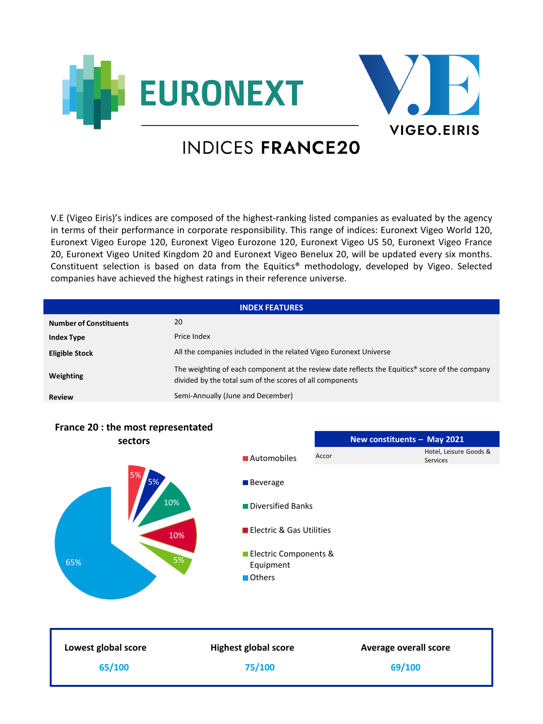



## **INDICES FRANCE20**

V.E (Vigeo Eiris)'s indices are composed of the highest-ranking listed companies as evaluated by the agency in terms of their performance in corporate responsibility. This range of indices: Euronext Vigeo World 120, Euronext Vigeo Europe 120, Euronext Vigeo Eurozone 120, Euronext Vigeo US 50, Euronext Vigeo France 20, Euronext Vigeo United Kingdom 20 and Euronext Vigeo Benelux 20, will be updated every six months. Constituent selection is based on data from the Equitics® methodology, developed by Vigeo. Selected companies have achieved the highest ratings in their reference universe.

| <b>INDEX FEATURES</b>         |                                                                                                                                                                        |  |
|-------------------------------|------------------------------------------------------------------------------------------------------------------------------------------------------------------------|--|
| <b>Number of Constituents</b> | 20                                                                                                                                                                     |  |
| <b>Index Type</b>             | Price Index                                                                                                                                                            |  |
| <b>Eligible Stock</b>         | All the companies included in the related Vigeo Euronext Universe                                                                                                      |  |
| Weighting                     | The weighting of each component at the review date reflects the Equitics <sup>®</sup> score of the company<br>divided by the total sum of the scores of all components |  |
| <b>Review</b>                 | Semi-Annually (June and December)                                                                                                                                      |  |